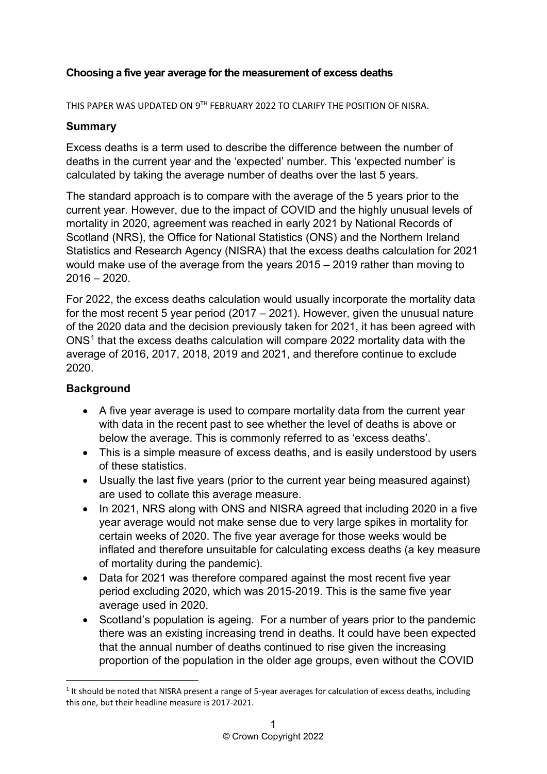## **Choosing a five year average for the measurement of excess deaths**

THIS PAPER WAS UPDATED ON 9TH FEBRUARY 2022 TO CLARIFY THE POSITION OF NISRA.

### **Summary**

Excess deaths is a term used to describe the difference between the number of deaths in the current year and the 'expected' number. This 'expected number' is calculated by taking the average number of deaths over the last 5 years.

The standard approach is to compare with the average of the 5 years prior to the current year. However, due to the impact of COVID and the highly unusual levels of mortality in 2020, agreement was reached in early 2021 by National Records of Scotland (NRS), the Office for National Statistics (ONS) and the Northern Ireland Statistics and Research Agency (NISRA) that the excess deaths calculation for 2021 would make use of the average from the years 2015 – 2019 rather than moving to 2016 – 2020.

For 2022, the excess deaths calculation would usually incorporate the mortality data for the most recent 5 year period (2017 – 2021). However, given the unusual nature of the 2020 data and the decision previously taken for 2021, it has been agreed with ONS[1](#page-0-0) that the excess deaths calculation will compare 2022 mortality data with the average of 2016, 2017, 2018, 2019 and 2021, and therefore continue to exclude 2020.

## **Background**

**.** 

- A five year average is used to compare mortality data from the current year with data in the recent past to see whether the level of deaths is above or below the average. This is commonly referred to as 'excess deaths'.
- This is a simple measure of excess deaths, and is easily understood by users of these statistics.
- Usually the last five years (prior to the current year being measured against) are used to collate this average measure.
- In 2021, NRS along with ONS and NISRA agreed that including 2020 in a five year average would not make sense due to very large spikes in mortality for certain weeks of 2020. The five year average for those weeks would be inflated and therefore unsuitable for calculating excess deaths (a key measure of mortality during the pandemic).
- Data for 2021 was therefore compared against the most recent five year period excluding 2020, which was 2015-2019. This is the same five year average used in 2020.
- Scotland's population is ageing. For a number of years prior to the pandemic there was an existing increasing trend in deaths. It could have been expected that the annual number of deaths continued to rise given the increasing proportion of the population in the older age groups, even without the COVID

<span id="page-0-0"></span><sup>&</sup>lt;sup>1</sup> It should be noted that NISRA present a range of 5-year averages for calculation of excess deaths, including this one, but their headline measure is 2017-2021.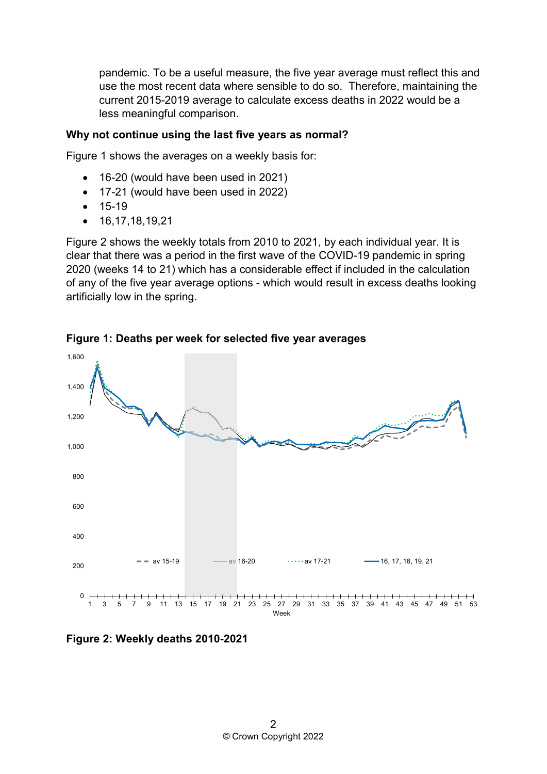pandemic. To be a useful measure, the five year average must reflect this and use the most recent data where sensible to do so. Therefore, maintaining the current 2015-2019 average to calculate excess deaths in 2022 would be a less meaningful comparison.

#### **Why not continue using the last five years as normal?**

Figure 1 shows the averages on a weekly basis for:

- 16-20 (would have been used in 2021)
- 17-21 (would have been used in 2022)
- 15-19
- $16,17,18,19,21$

Figure 2 shows the weekly totals from 2010 to 2021, by each individual year. It is clear that there was a period in the first wave of the COVID-19 pandemic in spring 2020 (weeks 14 to 21) which has a considerable effect if included in the calculation of any of the five year average options - which would result in excess deaths looking artificially low in the spring.



**Figure 1: Deaths per week for selected five year averages**

**Figure 2: Weekly deaths 2010-2021**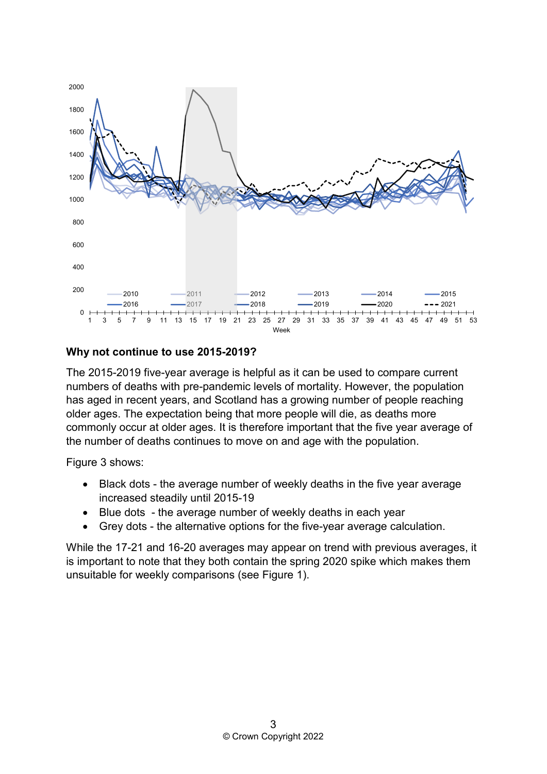

#### **Why not continue to use 2015-2019?**

The 2015-2019 five-year average is helpful as it can be used to compare current numbers of deaths with pre-pandemic levels of mortality. However, the population has aged in recent years, and Scotland has a growing number of people reaching older ages. The expectation being that more people will die, as deaths more commonly occur at older ages. It is therefore important that the five year average of the number of deaths continues to move on and age with the population.

Figure 3 shows:

- Black dots the average number of weekly deaths in the five year average increased steadily until 2015-19
- Blue dots the average number of weekly deaths in each year
- Grey dots the alternative options for the five-year average calculation.

While the 17-21 and 16-20 averages may appear on trend with previous averages, it is important to note that they both contain the spring 2020 spike which makes them unsuitable for weekly comparisons (see Figure 1).